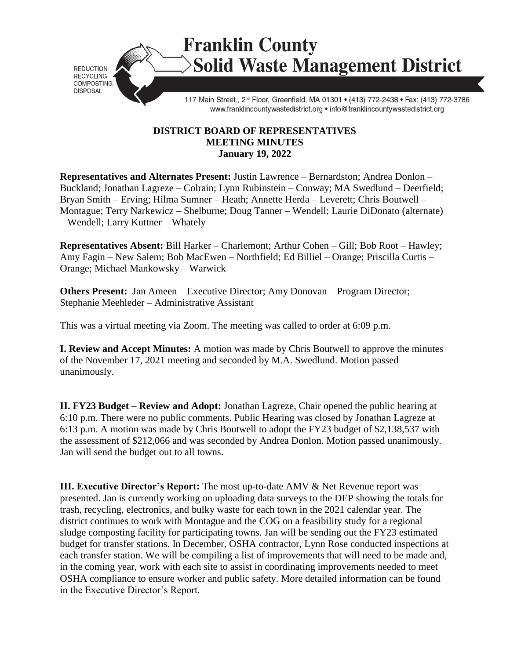

**Franklin County Solid Waste Management District** 

117 Main Street., 2<sup>nd</sup> Floor, Greenfield, MA 01301 · (413) 772-2438 · Fax: (413) 772-3786 www.franklincountywastedistrict.org . info@franklincountywastedistrict.org

## **DISTRICT BOARD OF REPRESENTATIVES MEETING MINUTES January 19, 2022**

**Representatives and Alternates Present:** Justin Lawrence – Bernardston; Andrea Donlon – Buckland; Jonathan Lagreze – Colrain; Lynn Rubinstein – Conway; MA Swedlund – Deerfield; Bryan Smith – Erving; Hilma Sumner – Heath; Annette Herda – Leverett; Chris Boutwell – Montague; Terry Narkewicz – Shelburne; Doug Tanner – Wendell; Laurie DiDonato (alternate) – Wendell; Larry Kuttner – Whately

**Representatives Absent:** Bill Harker – Charlemont; Arthur Cohen – Gill; Bob Root – Hawley; Amy Fagin – New Salem; Bob MacEwen – Northfield; Ed Billiel – Orange; Priscilla Curtis – Orange; Michael Mankowsky – Warwick

**Others Present:** Jan Ameen – Executive Director; Amy Donovan – Program Director; Stephanie Meehleder – Administrative Assistant

This was a virtual meeting via Zoom. The meeting was called to order at 6:09 p.m.

**I. Review and Accept Minutes:** A motion was made by Chris Boutwell to approve the minutes of the November 17, 2021 meeting and seconded by M.A. Swedlund. Motion passed unanimously.

**II. FY23 Budget – Review and Adopt:** Jonathan Lagreze, Chair opened the public hearing at 6:10 p.m. There were no public comments. Public Hearing was closed by Jonathan Lagreze at 6:13 p.m. A motion was made by Chris Boutwell to adopt the FY23 budget of \$2,138,537 with the assessment of \$212,066 and was seconded by Andrea Donlon. Motion passed unanimously. Jan will send the budget out to all towns.

**III. Executive Director's Report:** The most up-to-date AMV & Net Revenue report was presented. Jan is currently working on uploading data surveys to the DEP showing the totals for trash, recycling, electronics, and bulky waste for each town in the 2021 calendar year. The district continues to work with Montague and the COG on a feasibility study for a regional sludge composting facility for participating towns. Jan will be sending out the FY23 estimated budget for transfer stations. In December, OSHA contractor, Lynn Rose conducted inspections at each transfer station. We will be compiling a list of improvements that will need to be made and, in the coming year, work with each site to assist in coordinating improvements needed to meet OSHA compliance to ensure worker and public safety. More detailed information can be found in the Executive Director's Report.